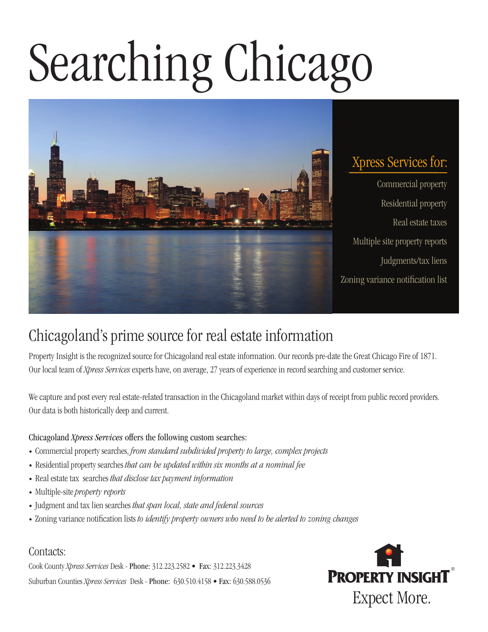# Searching Chicago



# Xpress Services for:

Commercial property • Residential property • Real estate taxes • Multiple site property reports Judgments/tax liens Zoning variance notification list

# Chicagoland's prime source for real estate information

Property Insight is the recognized source for Chicagoland real estate information. Our records pre-date the Great Chicago Fire of 1871. Our local team of *Xpress Services* experts have, on average, 27 years of experience in record searching and customer service.

We capture and post every real estate-related transaction in the Chicagoland market within days of receipt from public record providers. Our data is both historically deep and current.

#### Chicagoland *Xpress Services* offers the following custom searches:

- Commercial property searches, *from standard subdivided property to large, complex projects*
- Residential property searches *that can be updated within six months at a nominal fee*
- Real estate tax searches *that disclose tax payment information*
- Multiple-site *property reports*
- Judgment and tax lien searches *that span local, state and federal sources*
- Zoning variance notification lists *to identify property owners who need to be alerted to zoning changes*

#### Contacts:

Cook County *Xpress Services* Desk - Phone: 312.223.2582 • Fax: 312.223.3428 Suburban Counties *Xpress Services* Desk - Phone: 630.510.4158 • Fax: 630.588.0536